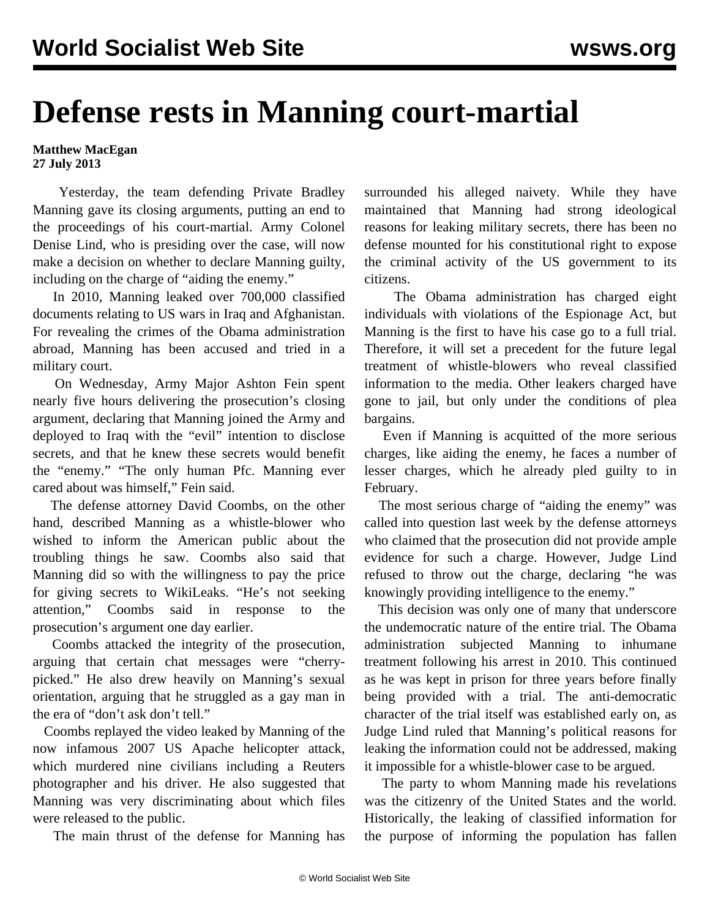## **Defense rests in Manning court-martial**

**Matthew MacEgan 27 July 2013**

 Yesterday, the team defending Private Bradley Manning gave its closing arguments, putting an end to the proceedings of his court-martial. Army Colonel Denise Lind, who is presiding over the case, will now make a decision on whether to declare Manning guilty, including on the charge of "aiding the enemy."

 In 2010, Manning leaked over 700,000 classified documents relating to US wars in Iraq and Afghanistan. For revealing the crimes of the Obama administration abroad, Manning has been accused and tried in a military court.

 On Wednesday, Army Major Ashton Fein spent nearly five hours delivering the prosecution's closing argument, declaring that Manning joined the Army and deployed to Iraq with the "evil" intention to disclose secrets, and that he knew these secrets would benefit the "enemy." "The only human Pfc. Manning ever cared about was himself," Fein said.

 The defense attorney David Coombs, on the other hand, described Manning as a whistle-blower who wished to inform the American public about the troubling things he saw. Coombs also said that Manning did so with the willingness to pay the price for giving secrets to WikiLeaks. "He's not seeking attention," Coombs said in response to the prosecution's argument one day earlier.

 Coombs attacked the integrity of the prosecution, arguing that certain chat messages were "cherrypicked." He also drew heavily on Manning's sexual orientation, arguing that he struggled as a gay man in the era of "don't ask don't tell."

 Coombs replayed the video leaked by Manning of the now infamous 2007 US Apache helicopter attack, which murdered nine civilians including a Reuters photographer and his driver. He also suggested that Manning was very discriminating about which files were released to the public.

The main thrust of the defense for Manning has

surrounded his alleged naivety. While they have maintained that Manning had strong ideological reasons for leaking military secrets, there has been no defense mounted for his constitutional right to expose the criminal activity of the US government to its citizens.

 The Obama administration has charged eight individuals with violations of the Espionage Act, but Manning is the first to have his case go to a full trial. Therefore, it will set a precedent for the future legal treatment of whistle-blowers who reveal classified information to the media. Other leakers charged have gone to jail, but only under the conditions of plea bargains.

 Even if Manning is acquitted of the more serious charges, like aiding the enemy, he faces a number of lesser charges, which he already pled guilty to in February.

 The most serious charge of "aiding the enemy" was called into question last week by the defense attorneys who claimed that the prosecution did not provide ample evidence for such a charge. However, Judge Lind refused to throw out the charge, declaring "he was knowingly providing intelligence to the enemy."

 This decision was only one of many that underscore the undemocratic nature of the entire trial. The Obama administration subjected Manning to inhumane treatment following his arrest in 2010. This continued as he was kept in prison for three years before finally being provided with a trial. The anti-democratic character of the trial itself was established early on, as Judge Lind ruled that Manning's political reasons for leaking the information could not be addressed, making it impossible for a whistle-blower case to be argued.

 The party to whom Manning made his revelations was the citizenry of the United States and the world. Historically, the leaking of classified information for the purpose of informing the population has fallen